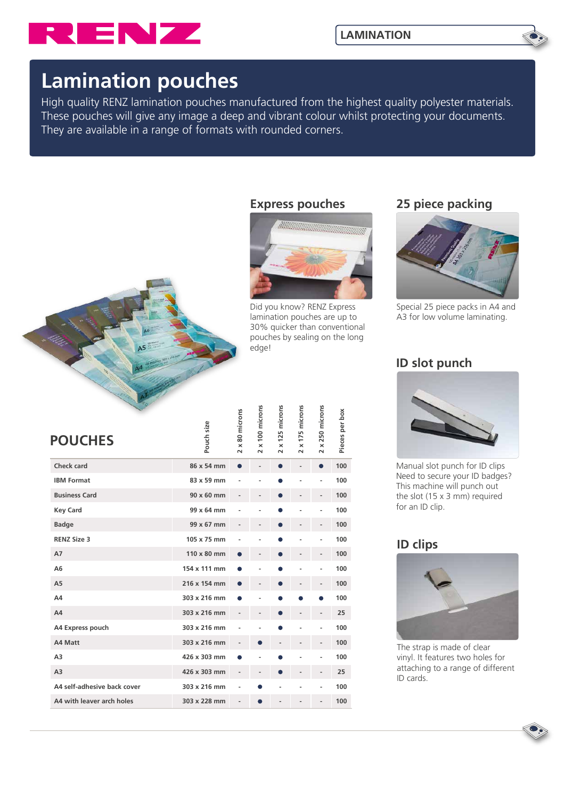

## **Lamination pouches**

High quality RENZ lamination pouches manufactured from the highest quality polyester materials. These pouches will give any image a deep and vibrant colour whilst protecting your documents. They are available in a range of formats with rounded corners.



#### **Express pouches**



Did you know? RENZ Express lamination pouches are up to 30% quicker than conventional pouches by sealing on the long edge!

## **25 piece packing**



Special 25 piece packs in A4 and A3 for low volume laminating.

## **ID slot punch**



Manual slot punch for ID clips Need to secure your ID badges? This machine will punch out the slot (15 x 3 mm) required for an ID clip.

## **ID clips**



The strap is made of clear vinyl. It features two holes for attaching to a range of different ID cards.